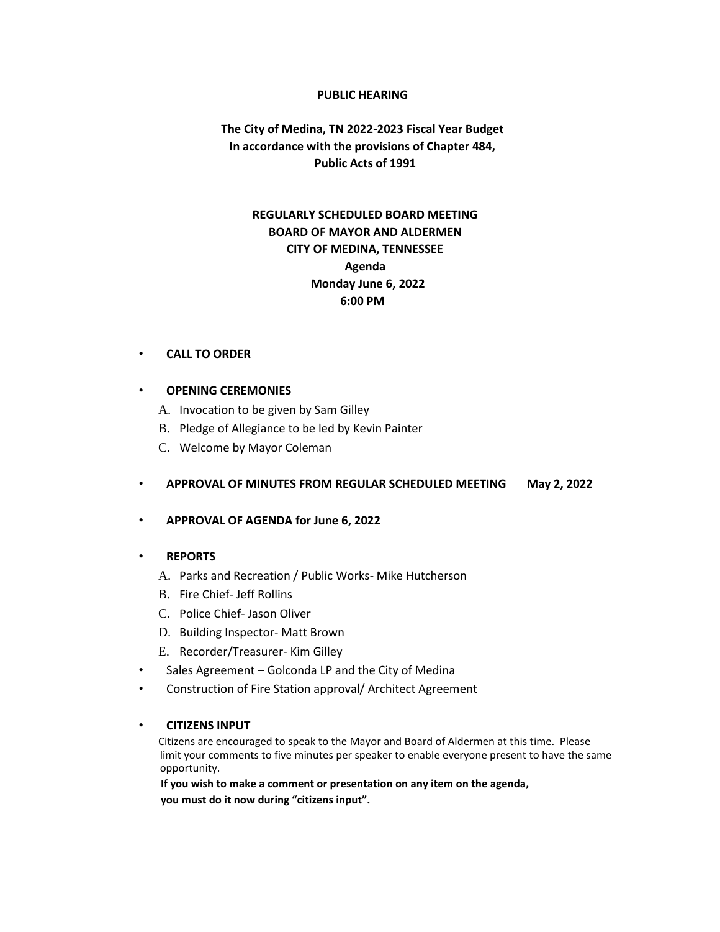### **PUBLIC HEARING**

# **The City of Medina, TN 2022-2023 Fiscal Year Budget In accordance with the provisions of Chapter 484, Public Acts of 1991**

# **REGULARLY SCHEDULED BOARD MEETING BOARD OF MAYOR AND ALDERMEN CITY OF MEDINA, TENNESSEE Agenda Monday June 6, 2022 6:00 PM**

### • **CALL TO ORDER**

### • **OPENING CEREMONIES**

- A. Invocation to be given by Sam Gilley
- B. Pledge of Allegiance to be led by Kevin Painter
- C. Welcome by Mayor Coleman

## • **APPROVAL OF MINUTES FROM REGULAR SCHEDULED MEETING May 2, 2022**

## • **APPROVAL OF AGENDA for June 6, 2022**

## • **REPORTS**

- A. Parks and Recreation / Public Works- Mike Hutcherson
- B. Fire Chief- Jeff Rollins
- C. Police Chief- Jason Oliver
- D. Building Inspector- Matt Brown
- E. Recorder/Treasurer- Kim Gilley
- Sales Agreement Golconda LP and the City of Medina
- Construction of Fire Station approval/ Architect Agreement

## • **CITIZENS INPUT**

Citizens are encouraged to speak to the Mayor and Board of Aldermen at this time. Please limit your comments to five minutes per speaker to enable everyone present to have the same opportunity.

 **If you wish to make a comment or presentation on any item on the agenda, you must do it now during "citizens input".**